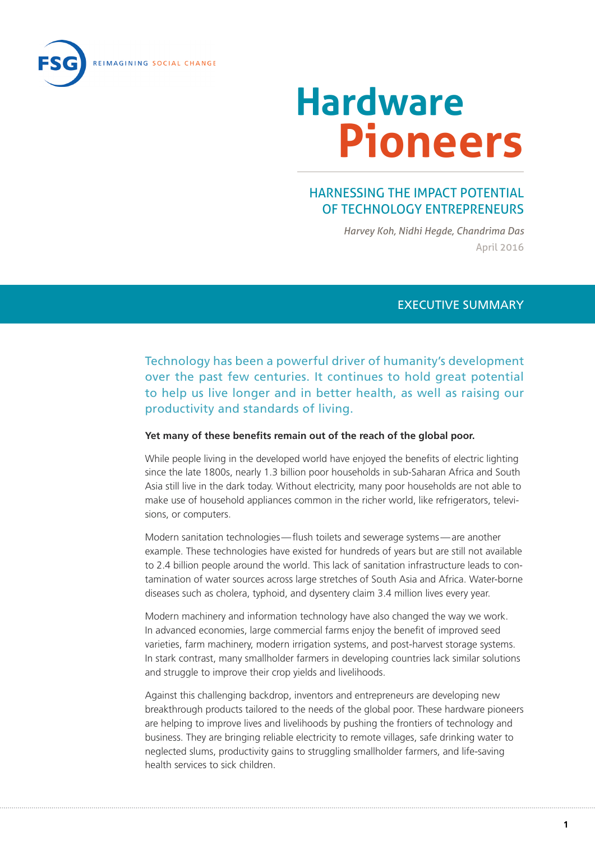

# HARNESSING THE IMPACT POTENTIAL OF TECHNOLOGY ENTREPRENEURS

*Harvey Koh, Nidhi Hegde, Chandrima Das* April 2016

#### EXECUTIVE SUMMARY

Technology has been a powerful driver of humanity's development over the past few centuries. It continues to hold great potential to help us live longer and in better health, as well as raising our productivity and standards of living.

#### **Yet many of these benefits remain out of the reach of the global poor.**

While people living in the developed world have enjoyed the benefits of electric lighting since the late 1800s, nearly 1.3 billion poor households in sub-Saharan Africa and South Asia still live in the dark today. Without electricity, many poor households are not able to make use of household appliances common in the richer world, like refrigerators, televisions, or computers.

Modern sanitation technologies—flush toilets and sewerage systems—are another example. These technologies have existed for hundreds of years but are still not available to 2.4 billion people around the world. This lack of sanitation infrastructure leads to contamination of water sources across large stretches of South Asia and Africa. Water-borne diseases such as cholera, typhoid, and dysentery claim 3.4 million lives every year.

Modern machinery and information technology have also changed the way we work. In advanced economies, large commercial farms enjoy the benefit of improved seed varieties, farm machinery, modern irrigation systems, and post-harvest storage systems. In stark contrast, many smallholder farmers in developing countries lack similar solutions and struggle to improve their crop yields and livelihoods.

Against this challenging backdrop, inventors and entrepreneurs are developing new breakthrough products tailored to the needs of the global poor. These hardware pioneers are helping to improve lives and livelihoods by pushing the frontiers of technology and business. They are bringing reliable electricity to remote villages, safe drinking water to neglected slums, productivity gains to struggling smallholder farmers, and life-saving health services to sick children.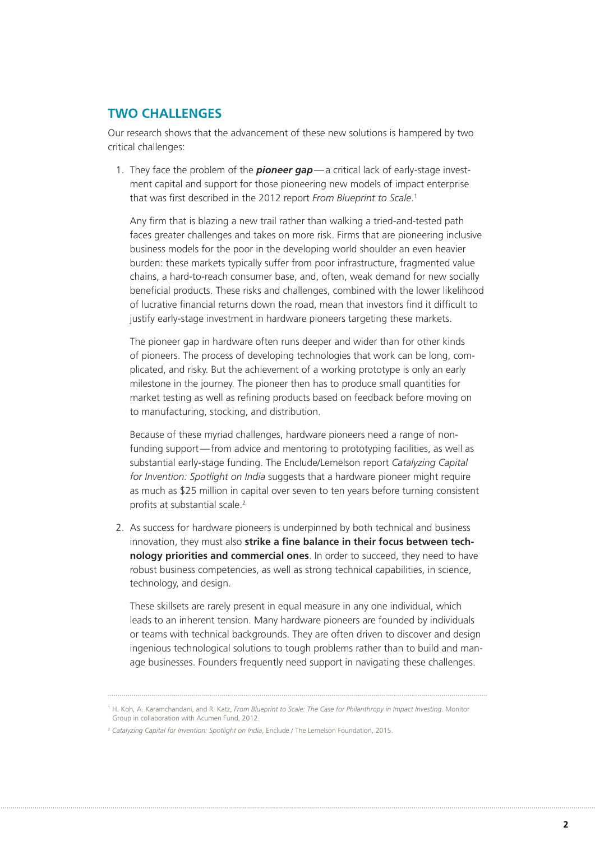### **TWO CHALLENGES**

Our research shows that the advancement of these new solutions is hampered by two critical challenges:

1. They face the problem of the *pioneer gap*—a critical lack of early-stage investment capital and support for those pioneering new models of impact enterprise that was first described in the 2012 report *From Blueprint to Scale*. 1

Any firm that is blazing a new trail rather than walking a tried-and-tested path faces greater challenges and takes on more risk. Firms that are pioneering inclusive business models for the poor in the developing world shoulder an even heavier burden: these markets typically suffer from poor infrastructure, fragmented value chains, a hard-to-reach consumer base, and, often, weak demand for new socially beneficial products. These risks and challenges, combined with the lower likelihood of lucrative financial returns down the road, mean that investors find it difficult to justify early-stage investment in hardware pioneers targeting these markets.

The pioneer gap in hardware often runs deeper and wider than for other kinds of pioneers. The process of developing technologies that work can be long, complicated, and risky. But the achievement of a working prototype is only an early milestone in the journey. The pioneer then has to produce small quantities for market testing as well as refining products based on feedback before moving on to manufacturing, stocking, and distribution.

Because of these myriad challenges, hardware pioneers need a range of nonfunding support—from advice and mentoring to prototyping facilities, as well as substantial early-stage funding. The Enclude/Lemelson report *Catalyzing Capital for Invention: Spotlight on India* suggests that a hardware pioneer might require as much as \$25 million in capital over seven to ten years before turning consistent profits at substantial scale.<sup>2</sup>

2. As success for hardware pioneers is underpinned by both technical and business innovation, they must also **strike a fine balance in their focus between technology priorities and commercial ones**. In order to succeed, they need to have robust business competencies, as well as strong technical capabilities, in science, technology, and design.

These skillsets are rarely present in equal measure in any one individual, which leads to an inherent tension. Many hardware pioneers are founded by individuals or teams with technical backgrounds. They are often driven to discover and design ingenious technological solutions to tough problems rather than to build and manage businesses. Founders frequently need support in navigating these challenges.

<sup>1</sup> H. Koh, A. Karamchandani, and R. Katz, *From Blueprint to Scale: The Case for Philanthropy in Impact Investing*. Monitor Group in collaboration with Acumen Fund, 2012.

<sup>&</sup>lt;sup>2</sup> Catalyzing Capital for Invention: Spotlight on India, Enclude / The Lemelson Foundation, 2015.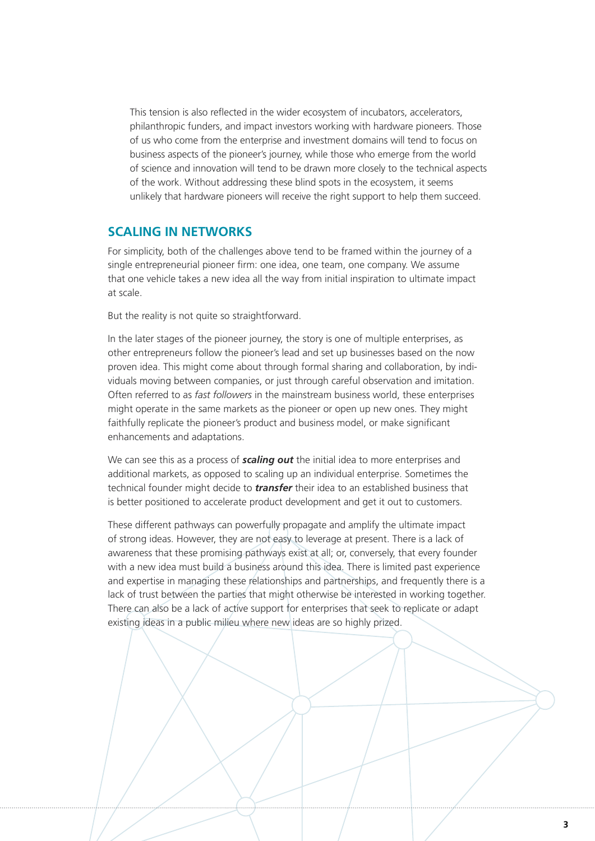This tension is also reflected in the wider ecosystem of incubators, accelerators, philanthropic funders, and impact investors working with hardware pioneers. Those of us who come from the enterprise and investment domains will tend to focus on business aspects of the pioneer's journey, while those who emerge from the world of science and innovation will tend to be drawn more closely to the technical aspects of the work. Without addressing these blind spots in the ecosystem, it seems unlikely that hardware pioneers will receive the right support to help them succeed.

### **SCALING IN NETWORKS**

For simplicity, both of the challenges above tend to be framed within the journey of a single entrepreneurial pioneer firm: one idea, one team, one company. We assume that one vehicle takes a new idea all the way from initial inspiration to ultimate impact at scale.

But the reality is not quite so straightforward.

In the later stages of the pioneer journey, the story is one of multiple enterprises, as other entrepreneurs follow the pioneer's lead and set up businesses based on the now proven idea. This might come about through formal sharing and collaboration, by individuals moving between companies, or just through careful observation and imitation. Often referred to as *fast followers* in the mainstream business world, these enterprises might operate in the same markets as the pioneer or open up new ones. They might faithfully replicate the pioneer's product and business model, or make significant enhancements and adaptations.

We can see this as a process of *scaling out* the initial idea to more enterprises and additional markets, as opposed to scaling up an individual enterprise. Sometimes the technical founder might decide to *transfer* their idea to an established business that is better positioned to accelerate product development and get it out to customers.

These different pathways can powerfully propagate and amplify the ultimate impact of strong ideas. However, they are not easy to leverage at present. There is a lack of awareness that these promising pathways exist at all; or, conversely, that every founder with a new idea must build a business around this idea. There is limited past experience and expertise in managing these relationships and partnerships, and frequently there is a lack of trust between the parties that might otherwise be interested in working together. There can also be a lack of active support for enterprises that seek to replicate or adapt existing ideas in a public milieu where new ideas are so highly prized.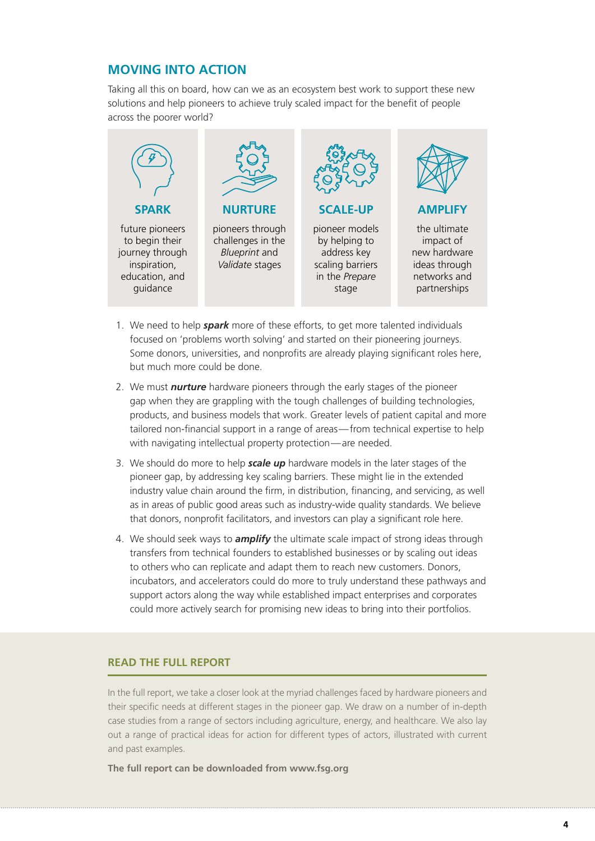## **MOVING INTO ACTION**

Taking all this on board, how can we as an ecosystem best work to support these new solutions and help pioneers to achieve truly scaled impact for the benefit of people across the poorer world?



- 1. We need to help *spark* more of these efforts, to get more talented individuals focused on 'problems worth solving' and started on their pioneering journeys. Some donors, universities, and nonprofits are already playing significant roles here, but much more could be done.
- 2. We must *nurture* hardware pioneers through the early stages of the pioneer gap when they are grappling with the tough challenges of building technologies, products, and business models that work. Greater levels of patient capital and more tailored non-financial support in a range of areas—from technical expertise to help with navigating intellectual property protection—are needed.
- 3. We should do more to help *scale up* hardware models in the later stages of the pioneer gap, by addressing key scaling barriers. These might lie in the extended industry value chain around the firm, in distribution, financing, and servicing, as well as in areas of public good areas such as industry-wide quality standards. We believe that donors, nonprofit facilitators, and investors can play a significant role here.
- 4. We should seek ways to *amplify* the ultimate scale impact of strong ideas through transfers from technical founders to established businesses or by scaling out ideas to others who can replicate and adapt them to reach new customers. Donors, incubators, and accelerators could do more to truly understand these pathways and support actors along the way while established impact enterprises and corporates could more actively search for promising new ideas to bring into their portfolios.

### **READ THE FULL REPORT**

In the full report, we take a closer look at the myriad challenges faced by hardware pioneers and their specific needs at different stages in the pioneer gap. We draw on a number of in-depth case studies from a range of sectors including agriculture, energy, and healthcare. We also lay out a range of practical ideas for action for different types of actors, illustrated with current and past examples.

**The full report can be downloaded from [www.fsg.org](http://www.fsg.org)**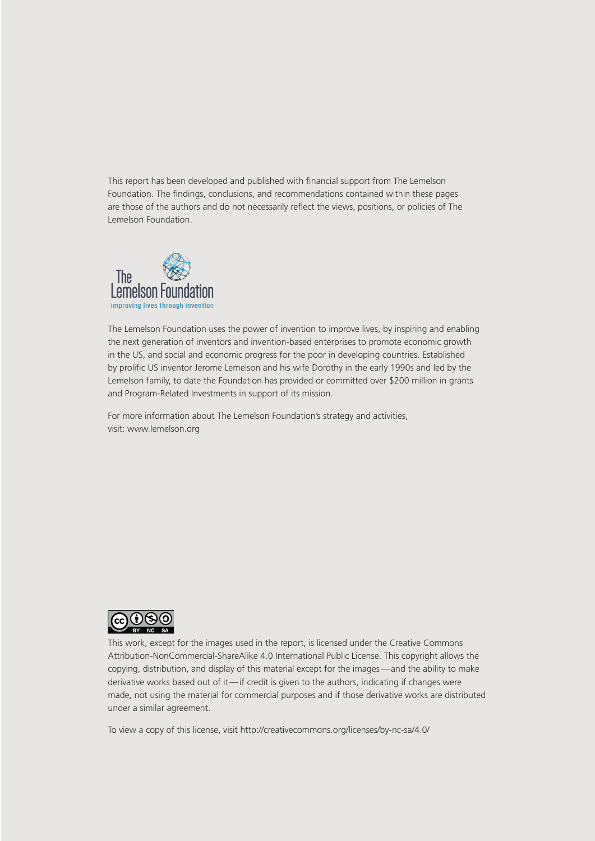This report has been developed and published with financial support from The Lemelson Foundation. The findings, conclusions, and recommendations contained within these pages are those of the authors and do not necessarily reflect the views, positions, or policies of The Lemelson Foundation.



The Lemelson Foundation uses the power of invention to improve lives, by inspiring and enabling the next generation of inventors and invention-based enterprises to promote economic growth in the US, and social and economic progress for the poor in developing countries. Established by prolific US inventor Jerome Lemelson and his wife Dorothy in the early 1990s and led by the Lemelson family, to date the Foundation has provided or committed over \$200 million in grants and Program-Related Investments in support of its mission.

For more information about The Lemelson Foundation's strategy and activities, visit: [www.lemelson.org](http://www.lemelson.org)



This work, except for the images used in the report, is licensed under the Creative Commons Attribution-NonCommercial-ShareAlike 4.0 International Public License. This copyright allows the copying, distribution, and display of this material except for the images—and the ability to make derivative works based out of it—if credit is given to the authors, indicating if changes were made, not using the material for commercial purposes and if those derivative works are distributed under a similar agreement.

To view a copy of this license, visit <http://creativecommons.org/licenses/by-nc-sa/4.0/>